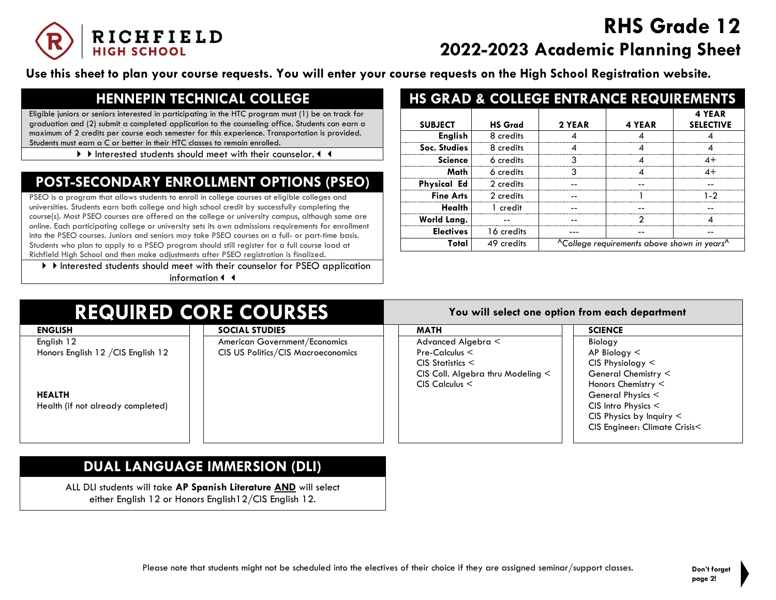

# **RHS Grade 12 2022-2023 Academic Planning Sheet**

**Use this sheet to plan your course requests. You will enter your course requests on the High School Registration website.**

## **HENNEPIN TECHNICAL COLLEGE**

Eligible juniors or seniors interested in participating in the HTC program must (1) be on track for graduation and (2) submit a completed application to the counseling office. Students can earn a maximum of 2 credits per course each semester for this experience. Transportation is provided. Students must earn a C or better in their HTC classes to remain enrolled.

If Interested students should meet with their counselor. 4 4

## **POST-SECONDARY ENROLLMENT OPTIONS (PSEO)**

PSEO is a program that allows students to enroll in college courses at eligible colleges and universities. Students earn both college and high school credit by successfully completing the course(s). Most PSEO courses are offered on the college or university campus, although some are online. Each participating college or university sets its own admissions requirements for enrollment into the PSEO courses. Juniors and seniors may take PSEO courses on a full- or part-time basis. Students who plan to apply to a PSEO program should still register for a full course load at Richfield High School and then make adjustments after PSEO registration is finalized.

If Interested students should meet with their counselor for PSEO application information

|                    |                | <b>HS GRAD &amp; COLLEGE ENTRANCE REQUIREMENTS</b> |                                                                     |                            |
|--------------------|----------------|----------------------------------------------------|---------------------------------------------------------------------|----------------------------|
| <b>SUBJECT</b>     | <b>HS Grad</b> | 2 YEAR                                             | 4 YEAR                                                              | 4 YEAR<br><b>SELECTIVE</b> |
| <b>English</b>     | 8 credits      |                                                    |                                                                     |                            |
| Soc. Studies       | 8 credits      |                                                    |                                                                     |                            |
| <b>Science</b>     | 6 credits      |                                                    |                                                                     | 4+                         |
| Math               | 6 credits      | ર                                                  |                                                                     | $4+$                       |
| <b>Physical Ed</b> | 2 credits      |                                                    |                                                                     |                            |
| <b>Fine Arts</b>   | 2 credits      |                                                    |                                                                     | 1.2                        |
| Health             | 1 credit       |                                                    |                                                                     |                            |
| World Lang.        |                |                                                    | າ                                                                   |                            |
| <b>Electives</b>   | 16 credits     |                                                    |                                                                     |                            |
| Total              | 49 credits     |                                                    | <sup>^</sup> College requirements above shown in years <sup>^</sup> |                            |

## **REQUIRED CORE COURSES You will select one option from each department**

| KERGINED CONE COONGES              |                                    |                                        |                               |  |
|------------------------------------|------------------------------------|----------------------------------------|-------------------------------|--|
| <b>ENGLISH</b>                     | <b>SOCIAL STUDIES</b>              | <b>MATH</b>                            | <b>SCIENCE</b>                |  |
| English 12                         | American Government/Economics      | Advanced Algebra <                     | <b>Biology</b>                |  |
| Honors English 12 / CIS English 12 | CIS US Politics/CIS Macroeconomics | $Pre-Calculus <$                       | $AP$ Biology $\leq$           |  |
|                                    |                                    | $CIS$ Statistics $\leq$                | $CIS$ Physiology $\leq$       |  |
|                                    |                                    | CIS Coll. Algebra thru Modeling $\leq$ | General Chemistry <           |  |
|                                    |                                    | $CIS$ Calculus $\leq$                  | Honors Chemistry $\leq$       |  |
| <b>HEALTH</b>                      |                                    |                                        | General Physics <             |  |
| Health (if not already completed)  |                                    |                                        | $CIS$ Intro Physics $<$       |  |
|                                    |                                    |                                        | CIS Physics by Inquiry $\leq$ |  |
|                                    |                                    |                                        | CIS Engineer: Climate Crisis< |  |
|                                    |                                    |                                        |                               |  |

## **DUAL LANGUAGE IMMERSION (DLI)**

ALL DLI students will take **AP Spanish Literature AND** will select either English 12 or Honors English12/CIS English 12.

Please note that students might not be scheduled into the electives of their choice if they are assigned seminar/support classes. **Don't forget**